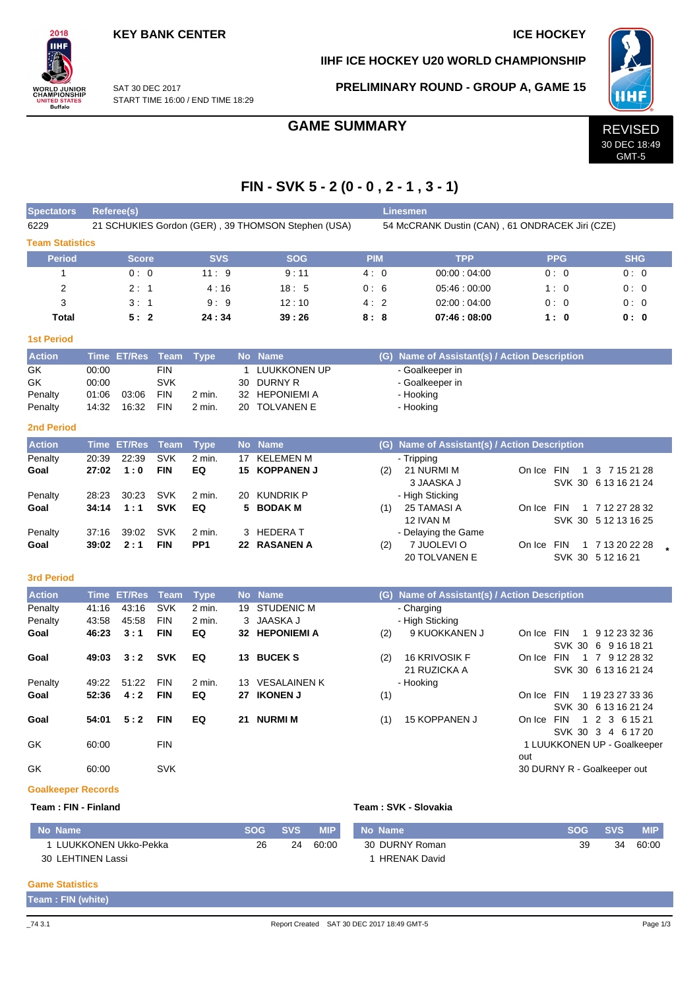# **KEY BANK CENTER ICE HOCKEY**

# **IIHF ICE HOCKEY U20 WORLD CHAMPIONSHIP**



SAT 30 DEC 2017 START TIME 16:00 / END TIME 18:29

# **PRELIMINARY ROUND - GROUP A, GAME 15**



GMT-5

# **FIN - SVK 5 - 2 (0 - 0 , 2 - 1 , 3 - 1)**

| <b>Spectators</b>         |             | <b>Referee(s)</b>  |             |                 |              |                                                    |                                                 |     | <b>Linesmen</b>                               |                                    |                                         |  |  |  |  |
|---------------------------|-------------|--------------------|-------------|-----------------|--------------|----------------------------------------------------|-------------------------------------------------|-----|-----------------------------------------------|------------------------------------|-----------------------------------------|--|--|--|--|
| 6229                      |             |                    |             |                 |              | 21 SCHUKIES Gordon (GER), 39 THOMSON Stephen (USA) | 54 McCRANK Dustin (CAN), 61 ONDRACEK Jiri (CZE) |     |                                               |                                    |                                         |  |  |  |  |
| <b>Team Statistics</b>    |             |                    |             |                 |              |                                                    |                                                 |     |                                               |                                    |                                         |  |  |  |  |
| <b>Period</b>             |             | <b>Score</b>       |             | <b>SVS</b>      |              | <b>SOG</b>                                         | <b>PIM</b>                                      |     | <b>TPP</b>                                    | <b>PPG</b>                         | <b>SHG</b>                              |  |  |  |  |
| $\mathbf{1}$              |             | 0:0                |             | 11:9            |              | 9:11                                               | 4:0                                             |     | 00:00:04:00                                   | 0:0                                | 0:0                                     |  |  |  |  |
| $\overline{2}$            |             | 2:1                |             | 4:16            |              | 18:5                                               | 0:6                                             |     | 05:46:00:00                                   | 1:0                                | 0:0                                     |  |  |  |  |
| 3                         |             | 3:1                |             | 9:9             |              | 12:10                                              | 4:2                                             |     | 02:00:04:00                                   | 0:0                                | 0:0                                     |  |  |  |  |
| Total                     |             | 5:2                |             | 24:34           |              | 39:26                                              | 8:8                                             |     | 07:46:08:00                                   | 1:0                                | 0: 0                                    |  |  |  |  |
| <b>1st Period</b>         |             |                    |             |                 |              |                                                    |                                                 |     |                                               |                                    |                                         |  |  |  |  |
| <b>Action</b>             |             | Time ET/Res        | Team        | <b>Type</b>     |              | No Name                                            |                                                 |     | (G) Name of Assistant(s) / Action Description |                                    |                                         |  |  |  |  |
| GK                        | 00:00       |                    | <b>FIN</b>  |                 | $\mathbf{1}$ | LUUKKONEN UP                                       |                                                 |     | - Goalkeeper in                               |                                    |                                         |  |  |  |  |
| GK                        | 00:00       |                    | <b>SVK</b>  |                 | 30           | <b>DURNY R</b>                                     |                                                 |     | - Goalkeeper in                               |                                    |                                         |  |  |  |  |
| Penalty                   | 01:06       | 03:06              | <b>FIN</b>  | 2 min.          | 32           | <b>HEPONIEMI A</b>                                 |                                                 |     | - Hooking                                     |                                    |                                         |  |  |  |  |
| Penalty                   | 14:32       | 16:32              | <b>FIN</b>  | 2 min.          | 20           | <b>TOLVANEN E</b>                                  |                                                 |     | - Hooking                                     |                                    |                                         |  |  |  |  |
| <b>2nd Period</b>         |             |                    |             |                 |              |                                                    |                                                 |     |                                               |                                    |                                         |  |  |  |  |
| <b>Action</b>             |             | <b>Time ET/Res</b> | <b>Team</b> | <b>Type</b>     |              | No Name                                            |                                                 |     | (G) Name of Assistant(s) / Action Description |                                    |                                         |  |  |  |  |
| Penalty                   | 20:39       | 22:39              | <b>SVK</b>  | 2 min.          | 17           | <b>KELEMEN M</b>                                   |                                                 |     | - Tripping                                    |                                    |                                         |  |  |  |  |
| Goal                      | 27:02       | 1:0                | <b>FIN</b>  | EQ              | 15           | <b>KOPPANEN J</b>                                  |                                                 | (2) | 21 NURMI M                                    | On Ice FIN<br>$\mathbf{1}$         | 3 7 15 21 28                            |  |  |  |  |
|                           |             |                    |             |                 |              |                                                    |                                                 |     | 3 JAASKA J                                    |                                    | SVK 30 6 13 16 21 24                    |  |  |  |  |
| Penalty                   | 28:23       | 30:23              | <b>SVK</b>  | 2 min.          | 20           | <b>KUNDRIK P</b>                                   |                                                 |     | - High Sticking                               |                                    |                                         |  |  |  |  |
| Goal                      | 34:14       | 1:1                | <b>SVK</b>  | EQ              | 5            | <b>BODAK M</b>                                     |                                                 | (1) | 25 TAMASI A<br>12 IVAN M                      | On Ice FIN                         | 1 7 12 27 28 32<br>SVK 30 5 12 13 16 25 |  |  |  |  |
| Penalty                   | 37:16       | 39:02              | <b>SVK</b>  | 2 min.          | 3            | <b>HEDERAT</b>                                     |                                                 |     | - Delaying the Game                           |                                    |                                         |  |  |  |  |
| Goal                      | 39:02       | 2:1                | <b>FIN</b>  | PP <sub>1</sub> |              | 22 RASANEN A                                       |                                                 | (2) | 7 JUOLEVI O                                   | On Ice FIN                         | 1 7 13 20 22 28                         |  |  |  |  |
|                           |             |                    |             |                 |              |                                                    |                                                 |     | 20 TOLVANEN E                                 | SVK 30 5 12 16 21                  |                                         |  |  |  |  |
| <b>3rd Period</b>         |             |                    |             |                 |              |                                                    |                                                 |     |                                               |                                    |                                         |  |  |  |  |
| <b>Action</b>             | <b>Time</b> | <b>ET/Res</b>      | <b>Team</b> | <b>Type</b>     | <b>No</b>    | <b>Name</b>                                        |                                                 |     | (G) Name of Assistant(s) / Action Description |                                    |                                         |  |  |  |  |
| Penalty                   | 41:16       | 43:16              | <b>SVK</b>  | 2 min.          | 19           | <b>STUDENIC M</b>                                  |                                                 |     | - Charging                                    |                                    |                                         |  |  |  |  |
| Penalty                   | 43:58       | 45.58              | <b>FIN</b>  | 2 min.          | 3            | JAASKA J                                           |                                                 |     | - High Sticking                               |                                    |                                         |  |  |  |  |
| Goal                      | 46:23       | 3:1                | <b>FIN</b>  | EQ              |              | 32 HEPONIEMI A                                     |                                                 | (2) | 9 KUOKKANEN J                                 | On Ice FIN                         | 1 9 12 23 32 36                         |  |  |  |  |
|                           |             |                    |             |                 |              |                                                    |                                                 |     |                                               |                                    | SVK 30 6 9 16 18 21                     |  |  |  |  |
| Goal                      | 49:03       | 3:2                | <b>SVK</b>  | EQ              | 13           | <b>BUCEKS</b>                                      |                                                 | (2) | 16 KRIVOSIK F                                 | On Ice FIN                         | 1 7 9 12 28 32                          |  |  |  |  |
|                           |             |                    |             |                 |              |                                                    |                                                 |     | 21 RUZICKA A                                  |                                    | SVK 30 6 13 16 21 24                    |  |  |  |  |
| Penalty                   | 49:22       | 51:22              | <b>FIN</b>  | 2 min.          | 13           | <b>VESALAINEN K</b>                                |                                                 |     | - Hooking                                     |                                    |                                         |  |  |  |  |
| Goal                      | 52:36       | 4:2                | FIN         | EQ              |              | 27 IKONEN J                                        |                                                 | (1) |                                               | On Ice FIN                         | 1 19 23 27 33 36                        |  |  |  |  |
| Goal                      | 54:01       | 5:2                | <b>FIN</b>  | EQ              |              | 21 NURMI M                                         |                                                 | (1) | 15 KOPPANEN J                                 | On Ice FIN                         | SVK 30 6 13 16 21 24<br>1 2 3 6 15 21   |  |  |  |  |
|                           |             |                    |             |                 |              |                                                    |                                                 |     |                                               |                                    | SVK 30 3 4 6 17 20                      |  |  |  |  |
| GK                        | 60:00       |                    | <b>FIN</b>  |                 |              |                                                    |                                                 |     |                                               | 1 LUUKKONEN UP - Goalkeeper<br>out |                                         |  |  |  |  |
| GK                        | 60:00       |                    | <b>SVK</b>  |                 |              |                                                    |                                                 |     |                                               | 30 DURNY R - Goalkeeper out        |                                         |  |  |  |  |
| <b>Goalkeeper Records</b> |             |                    |             |                 |              |                                                    |                                                 |     |                                               |                                    |                                         |  |  |  |  |

#### **Team : FIN - Finland Team : SVK - Slovakia**

| No Name              | SOG | <b>SVS</b> | <b>MIP</b> | No Name             | SOG. | <b>SVS</b> | <b>MIP</b> |
|----------------------|-----|------------|------------|---------------------|------|------------|------------|
| LUUKKONEN Ukko-Pekka | 26  | 24         | 60:00      | 30 DURNY Roman      | 39   | 34         | 60:00      |
| 30 LEHTINEN Lassi    |     |            |            | <b>HRENAK David</b> |      |            |            |

### **Game Statistics**

**Team : FIN (white)**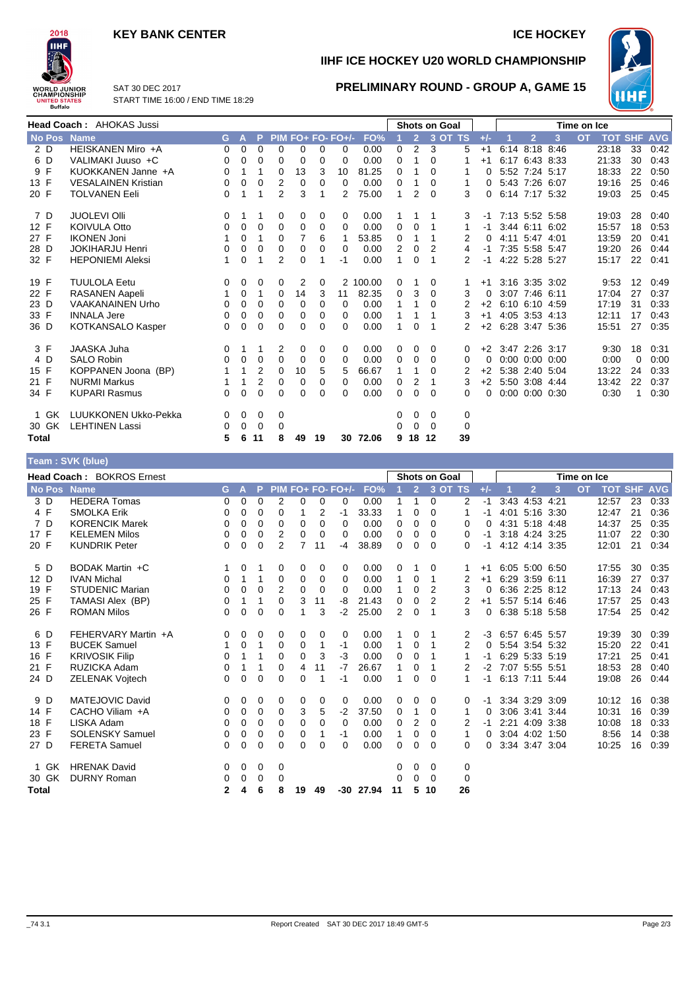# **KEY BANK CENTER ICE HOCKEY**



**IIHF ICE HOCKEY U20 WORLD CHAMPIONSHIP**

**PRELIMINARY ROUND - GROUP A, GAME 15**



SAT 30 DEC 2017 START TIME 16:00 / END TIME 18:29

| <b>Head Coach: AHOKAS Jussi</b> |                             |          |          |                |                |    |    | <b>Shots on Goal</b> |          |          |                |          | Time on Ice |          |                     |                |                      |           |            |            |            |
|---------------------------------|-----------------------------|----------|----------|----------------|----------------|----|----|----------------------|----------|----------|----------------|----------|-------------|----------|---------------------|----------------|----------------------|-----------|------------|------------|------------|
| No Pos Name                     |                             | G.       | A        | P              |                |    |    | PIM FO+ FO- FO+/-    | FO%      |          | $\overline{2}$ |          | 3 OT TS     | $+/-$    |                     | $\overline{2}$ | 3                    | <b>OT</b> | <b>TOT</b> | <b>SHF</b> | <b>AVG</b> |
| 2 D                             | HEISKANEN Miro +A           | 0        | 0        | $\mathbf 0$    | 0              | 0  | 0  | 0                    | 0.00     | 0        | 2              | 3        | 5           | $+1$     |                     |                | 6:14 8:18 8:46       |           | 23:18      | 33         | 0:42       |
| 6 D                             | VALIMAKI Juuso +C           | 0        | 0        | 0              | 0              | 0  | 0  | 0                    | 0.00     | 0        |                | $\Omega$ |             | $+1$     |                     |                | 6:17 6:43 8:33       |           | 21:33      | 30         | 0:43       |
| 9 F                             | KUOKKANEN Janne +A          | 0        |          | 1              | 0              | 13 | 3  | 10                   | 81.25    | 0        |                | $\Omega$ |             | 0        |                     | 5:52 7:24 5:17 |                      |           | 18:33      | 22         | 0:50       |
| 13 F                            | <b>VESALAINEN Kristian</b>  | 0        | $\Omega$ | $\Omega$       | 2              | 0  | 0  | 0                    | 0.00     | 0        |                | $\Omega$ | 1           | 0        |                     | 5:43 7:26 6:07 |                      |           | 19:16      | 25         | 0:46       |
| 20 F                            | <b>TOLVANEN Eeli</b>        | 0        |          |                | $\overline{2}$ | 3  |    | 2                    | 75.00    |          | 2              | $\Omega$ | 3           | 0        |                     |                | 6:14 7:17 5:32       |           | 19:03      | 25         | 0:45       |
| 7 D                             | <b>JUOLEVI OIII</b>         | 0        |          |                | 0              | 0  | 0  | 0                    | 0.00     |          |                |          | 3           | -1       |                     |                | 7:13 5:52 5:58       |           | 19:03      | 28         | 0:40       |
| 12 F                            | <b>KOIVULA Otto</b>         | 0        | 0        | $\mathbf 0$    | 0              | 0  | 0  | 0                    | 0.00     | 0        | $\Omega$       | 1        | 1           | -1       |                     |                | 3:44 6:11 6:02       |           | 15:57      | 18         | 0:53       |
| 27 F                            | <b>IKONEN Joni</b>          |          | $\Omega$ | 1              | 0              | 7  | 6  |                      | 53.85    | $\Omega$ |                |          | 2           | 0        |                     | 4:11 5:47 4:01 |                      |           | 13:59      | 20         | 0:41       |
| 28 D                            | <b>JOKIHARJU Henri</b>      | 0        | 0        | 0              | 0              | 0  | 0  | 0                    | 0.00     | 2        | 0              | 2        | 4           | $-1$     |                     | 7:35 5:58 5:47 |                      |           | 19:20      | 26         | 0:44       |
| 32 F                            | <b>HEPONIEMI Aleksi</b>     | 1        | $\Omega$ |                | 2              | 0  |    | -1                   | 0.00     | 1        | $\Omega$       | 1        | 2           | -1       |                     | 4:22 5:28 5:27 |                      |           | 15:17      | 22         | 0:41       |
| 19 F                            | <b>TUULOLA Eetu</b>         | 0        | 0        | 0              | 0              | 2  | 0  |                      | 2 100.00 | 0        |                | 0        |             | $+1$     |                     |                | 3:16 3:35 3:02       |           | 9:53       | 12         | 0:49       |
| 22 F                            | <b>RASANEN Aapeli</b>       | 1        | 0        | 1              | 0              | 14 | 3  | 11                   | 82.35    | 0        | 3              | 0        | 3           | $\Omega$ |                     | 3:07 7:46 6:11 |                      |           | 17:04      | 27         | 0:37       |
| 23 D                            | <b>VAAKANAINEN Urho</b>     | 0        | $\Omega$ | $\Omega$       | $\Omega$       | 0  | 0  | 0                    | 0.00     | 1        | 1              | $\Omega$ | 2           | $+2$     |                     |                | 6:10 6:10 4:59       |           | 17:19      | 31         | 0:33       |
| 33 F                            | <b>INNALA Jere</b>          | $\Omega$ | 0        | $\Omega$       | 0              | 0  | 0  | 0                    | 0.00     |          |                |          | 3           | $+1$     |                     |                | 4:05 3:53 4:13       |           | 12:11      | 17         | 0:43       |
| 36 D                            | KOTKANSALO Kasper           | 0        | $\Omega$ | $\Omega$       | 0              | 0  | 0  | 0                    | 0.00     |          | $\Omega$       |          | 2           | $+2$     | 6:28 3:47 5:36      |                |                      |           | 15:51      | 27         | 0:35       |
| 3 F                             | <b>JAASKA Juha</b>          | 0        |          |                | 2              | 0  | 0  | 0                    | 0.00     | 0        | 0              | 0        | 0           |          | $+2$ 3:47 2:26 3:17 |                |                      |           | 9:30       | 18         | 0:31       |
| 4 D                             | <b>SALO Robin</b>           | $\Omega$ | 0        | 0              | 0              | 0  | 0  | $\Omega$             | 0.00     | $\Omega$ | 0              | $\Omega$ | $\Omega$    | $\Omega$ |                     |                | $0:00$ $0:00$ $0:00$ |           | 0:00       | 0          | 0:00       |
| 15 F                            | KOPPANEN Joona (BP)         |          | 1        | $\overline{2}$ | 0              | 10 | 5  | 5                    | 66.67    | 1        | 1              | $\Omega$ |             | $+2$     |                     |                | 5:38 2:40 5:04       |           | 13:22      | 24         | 0:33       |
| 21 F                            | <b>NURMI Markus</b>         |          | 1        | $\overline{2}$ | 0              | 0  | 0  | 0                    | 0.00     | 0        | 2              |          | 3           | $+2$     |                     |                | 5:50 3:08 4:44       |           | 13:42      | 22         | 0:37       |
| 34 F                            | <b>KUPARI Rasmus</b>        | 0        | $\Omega$ | $\Omega$       | 0              | 0  | 0  | 0                    | 0.00     | $\Omega$ | $\Omega$       | $\Omega$ | 0           | 0        |                     |                | $0:00$ $0:00$ $0:30$ |           | 0:30       | 1          | 0:30       |
| 1 GK                            | <b>LUUKKONEN Ukko-Pekka</b> | 0        | 0        | 0              | 0              |    |    |                      |          | 0        | 0              | 0        | 0           |          |                     |                |                      |           |            |            |            |
| 30 GK                           | <b>LEHTINEN Lassi</b>       | 0        | $\Omega$ | 0              | $\Omega$       |    |    |                      |          | 0        | $\Omega$       | $\Omega$ | 0           |          |                     |                |                      |           |            |            |            |
| <b>Total</b>                    |                             | 5        | 6        | 11             | 8              | 49 | 19 | 30                   | 72.06    | 9        | 18             | 12       | 39          |          |                     |                |                      |           |            |            |            |

## **Team : SVK (blue)**

|             | <b>Head Coach: BOKROS Ernest</b> |              |   |             |          |    |          |                   |       |                | <b>Shots on Goal</b> |          |             |          |      |                | Time on Ice |           |            |            |            |
|-------------|----------------------------------|--------------|---|-------------|----------|----|----------|-------------------|-------|----------------|----------------------|----------|-------------|----------|------|----------------|-------------|-----------|------------|------------|------------|
| No Pos Name |                                  | G.           | A | Þ           |          |    |          | PIM FO+ FO- FO+/- | FO%   |                | $\overline{2}$       | 3 OT TS  |             | $+/-$    |      | $\overline{2}$ | 3           | <b>OT</b> | <b>TOT</b> | <b>SHF</b> | <b>AVG</b> |
| 3 D         | <b>HEDERA Tomas</b>              | 0            | 0 | 0           | 2        | 0  | $\Omega$ | 0                 | 0.00  |                | 1                    | 0        | 2           | $-1$     |      | 3:43 4:53 4:21 |             |           | 12:57      | 23         | 0:33       |
| 4 F         | <b>SMOLKA Erik</b>               | 0            | 0 | 0           | 0        | 1  | 2        | -1                | 33.33 | 1              | 0                    | 0        |             | -1       | 4:01 | 5:16 3:30      |             |           | 12:47      | 21         | 0:36       |
| 7 D         | <b>KORENCIK Marek</b>            | 0            | 0 | 0           | 0        | 0  | $\Omega$ | $\Omega$          | 0.00  | 0              | 0                    | 0        | 0           | 0        |      | 4:31 5:18 4:48 |             |           | 14:37      | 25         | 0:35       |
| 17 F        | <b>KELEMEN Milos</b>             | 0            | 0 | 0           | 2        | 0  | $\Omega$ | $\Omega$          | 0.00  | 0              | 0                    | 0        | 0           | -1       |      | 3:18 4:24 3:25 |             |           | 11:07      | 22         | 0:30       |
| 20 F        | <b>KUNDRIK Peter</b>             | 0            | 0 | 0           | 2        | 7  | 11       | $-4$              | 38.89 | 0              | 0                    | 0        | 0           | -1       |      | 4:12 4:14 3:35 |             |           | 12:01      | 21         | 0:34       |
| 5 D         | BODAK Martin +C                  |              | 0 |             | 0        | 0  | 0        | 0                 | 0.00  | 0              |                      | $\Omega$ |             | $+1$     |      | 6:05 5:00 6:50 |             |           | 17:55      | 30         | 0:35       |
| 12 D        | <b>IVAN Michal</b>               | 0            | 1 | 1           | 0        | 0  | 0        | $\Omega$          | 0.00  | 1              | 0                    | 1        | 2           | $+1$     |      | 6:29 3:59 6:11 |             |           | 16:39      | 27         | 0:37       |
| 19 F        | <b>STUDENIC Marian</b>           | 0            | 0 | 0           | 2        | 0  | 0        | 0                 | 0.00  | 1              | 0                    | 2        | 3           | 0        |      | 6:36 2:25 8:12 |             |           | 17:13      | 24         | 0:43       |
| 25 F        | TAMASI Alex (BP)                 | 0            | 1 | 1           | 0        | 3  | 11       | -8                | 21.43 | 0              | 0                    | 2        | 2           | $+1$     |      | 5:57 5:14 6:46 |             |           | 17:57      | 25         | 0:43       |
| 26 F        | <b>ROMAN Milos</b>               | 0            | 0 | $\Omega$    | 0        |    | 3        | $-2$              | 25.00 | $\overline{2}$ | 0                    |          | 3           | 0        |      | 6:38 5:18 5:58 |             |           | 17:54      | 25         | 0:42       |
| 6 D         | FEHERVARY Martin +A              | 0            | 0 | 0           | 0        | 0  | 0        | 0                 | 0.00  |                | 0                    |          | 2           | -3       |      | 6.57 6.45 5.57 |             |           | 19:39      | 30         | 0:39       |
| 13 F        | <b>BUCEK Samuel</b>              | 1            | 0 | 1           | 0        | 0  | 1        | $-1$              | 0.00  | 1              | 0                    | 1        | 2           | $\Omega$ |      | 5:54 3:54 5:32 |             |           | 15:20      | 22         | 0:41       |
| 16 F        | <b>KRIVOSIK Filip</b>            | 0            | 1 |             | 0        | 0  | 3        | $-3$              | 0.00  | 0              | 0                    |          | 1           | -1       |      | 6:29 5:33 5:19 |             |           | 17:21      | 25         | 0:41       |
| 21 F        | RUZICKA Adam                     | 0            | 1 | 1           | 0        | 4  | 11       | $-7$              | 26.67 | 1              | 0                    | 1        | 2           | $-2$     |      | 7:07 5:55 5:51 |             |           | 18:53      | 28         | 0:40       |
| 24 D        | ZELENAK Vojtech                  | 0            | 0 | 0           | 0        | 0  | 1        | -1                | 0.00  | 1              | 0                    | $\Omega$ | 1           | -1       |      | 6:13 7:11 5:44 |             |           | 19:08      | 26         | 0:44       |
| 9 D         | MATEJOVIC David                  | 0            | 0 | 0           | 0        | 0  | 0        | 0                 | 0.00  | 0              | 0                    | 0        | 0           | -1       |      | 3:34 3:29 3:09 |             |           | 10:12      | 16         | 0:38       |
| 14 F        | CACHO Viliam +A                  | 0            | 0 | 0           | 0        | 3  | 5        | $-2$              | 37.50 | 0              | 1                    | 0        | 1           | 0        |      | $3:06$ $3:41$  | 3:44        |           | 10:31      | 16         | 0:39       |
| 18 F        | LISKA Adam                       | 0            | 0 | 0           | $\Omega$ | 0  | $\Omega$ | 0                 | 0.00  | 0              | 2                    | $\Omega$ | 2           | -1       |      | 2:21 4:09 3:38 |             |           | 10:08      | 18         | 0:33       |
| 23 F        | <b>SOLENSKY Samuel</b>           | 0            | 0 | 0           | 0        | 0  |          | -1                | 0.00  | 1              | 0                    | $\Omega$ | 1           | $\Omega$ |      | 3:04 4:02 1:50 |             |           | 8:56       | 14         | 0:38       |
| 27 D        | <b>FERETA Samuel</b>             | 0            | 0 | $\mathbf 0$ | 0        | 0  | $\Omega$ | $\Omega$          | 0.00  | 0              | 0                    | $\Omega$ | 0           | 0        |      | 3:34 3:47 3:04 |             |           | 10:25      | 16         | 0:39       |
| 1 GK        | <b>HRENAK David</b>              | 0            | 0 | 0           | 0        |    |          |                   |       | 0              | 0                    | 0        | 0           |          |      |                |             |           |            |            |            |
| 30 GK       | <b>DURNY Roman</b>               | 0            | 0 | 0           | 0        |    |          |                   |       | 0              | $\Omega$             | $\Omega$ | $\mathbf 0$ |          |      |                |             |           |            |            |            |
| Total       |                                  | $\mathbf{2}$ | 4 | 6           | 8        | 19 | 49       | -30               | 27.94 | 11             | 5                    | 10       | 26          |          |      |                |             |           |            |            |            |